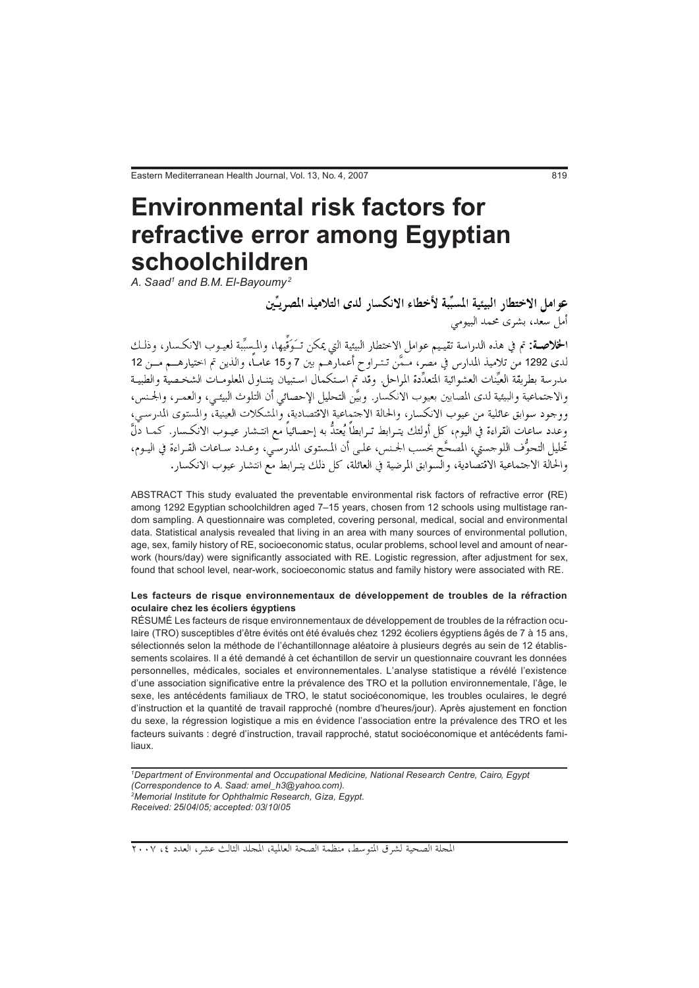# **Environmental risk factors for** refractive error among Eqyptian schoolchildren

A. Saad<sup>1</sup> and B.M. El-Bayoumy<sup>2</sup>

عوامل الاختطار البيئية المسبِّبة لأخطاء الانكسار لدى التلاميذ المصريِّين أمل سعد، بشرى محمد البيومي

**الخلاصـة:** تم في هذه الدراسة تقييم عوامل الاختطار البيئية التي يمكن تــَوَقِّيها، والمـِسبِّبة لعيـوب الانكـسار، وذلـك لدى 1292 من تلاميذ المدارس في مصر، مـمَّن تـتـراوح أعمارهـم بين 7 و15 عامـاً، والذين تم اختيارهـــم مــن 12 .<br>مدرسة بطريقة العيِّنات العشوائية المتعدِّدة المراحل. وقد تم استكمال استبيان يتنـاول المعلومــات الشخـصية والطبيــة والاجتماعية والبيئية لدى المصابين بعيوب الانكسار. وبيَّن التحليل الإحصائي أن التلوث البيئـي، والعمـر، والجحنس، ووجود سوابق عائلية من عيوب الانكسار، والحالة الاجتماعية الاقتصادية، والمشكلات العينية، والمستوى المدرسيّ، ۔<br>وعدد ساعات القراءة في اليوم، كل أولئك يتـرابط تـرابطاً يُعتدُّ به إحصائياً مع انتـشار عيـوب الانكـسار. كمـّا دل تحليل التحوُّف اللوجستي، المصحَّع بحسب الجحنس، علـى أن المـستوى المدرســى، وعـدد سـاعـات القــراءة في اليــوم، والحالة الاجتماعية الاقتصادية، والسوابق المرضية في العائلة، كل ذلك يتـرابط مـَّم انتشار عيوب الانكسار.

ABSTRACT This study evaluated the preventable environmental risk factors of refractive error (RE) among 1292 Egyptian schoolchildren aged 7-15 years, chosen from 12 schools using multistage random sampling. A questionnaire was completed, covering personal, medical, social and environmental data. Statistical analysis revealed that living in an area with many sources of environmental pollution, age, sex, family history of RE, socioeconomic status, ocular problems, school level and amount of nearwork (hours/day) were significantly associated with RE. Logistic regression, after adjustment for sex, found that school level, near-work, socioeconomic status and family history were associated with RE.

#### Les facteurs de risque environnementaux de développement de troubles de la réfraction oculaire chez les écoliers égyptiens

RÉSUMÉ Les facteurs de risque environnementaux de développement de troubles de la réfraction oculaire (TRO) susceptibles d'être évités ont été évalués chez 1292 écoliers égyptiens âgés de 7 à 15 ans, sélectionnés selon la méthode de l'échantillonnage aléatoire à plusieurs degrés au sein de 12 établissements scolaires. Il a été demandé à cet échantillon de servir un questionnaire couvrant les données personnelles, médicales, sociales et environnementales. L'analyse statistique a révélé l'existence d'une association significative entre la prévalence des TRO et la pollution environnementale, l'âge, le sexe, les antécédents familiaux de TRO, le statut socioéconomique, les troubles oculaires, le degré d'instruction et la quantité de travail rapproché (nombre d'heures/jour). Après aiustement en fonction du sexe, la régression logistique a mis en évidence l'association entre la prévalence des TRO et les facteurs suivants : degré d'instruction, travail rapproché, statut socioéconomique et antécédents familiaux.

<sup>1</sup>Department of Environmental and Occupational Medicine, National Research Centre, Cairo, Egypt (Correspondence to A. Saad: amel\_h3@yahoo.com). <sup>2</sup>Memorial Institute for Ophthalmic Research, Giza, Eqypt. Received: 25/04/05; accepted: 03/10/05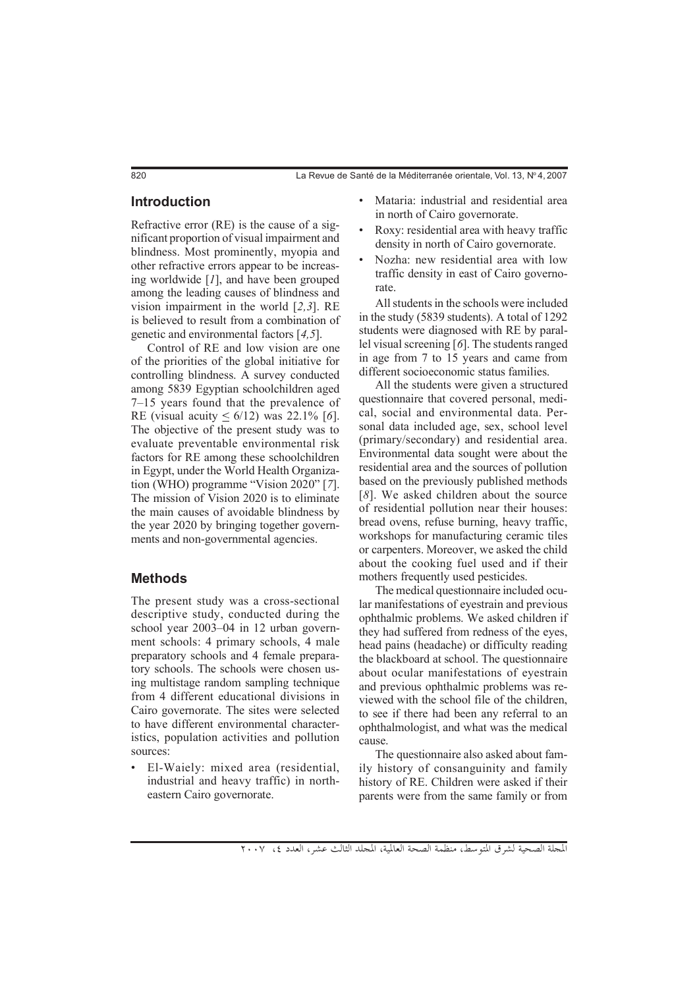## Introduction

Refractive error (RE) is the cause of a significant proportion of visual impairment and blindness. Most prominently, myopia and other refractive errors appear to be increasing worldwide [*1*], and have been grouped among the leading causes of blindness and vision impairment in the world [*2,3*]. RE is believed to result from a combination of genetic and environmental factors [*4,5*].

Control of RE and low vision are one of the priorities of the global initiative for controlling blindness. A survey conducted among 5839 Egyptian schoolchildren aged 7–15 years found that the prevalence of RE (visual acuity  $\leq 6/12$ ) was 22.1% [6]. The objective of the present study was to evaluate preventable environmental risk factors for RE among these schoolchildren in Egypt, under the World Health Organization (WHO) programme "Vision 2020" [*7*]. The mission of Vision 2020 is to eliminate the main causes of avoidable blindness by the year 2020 by bringing together governments and non-governmental agencies.

## **Methods**

The present study was a cross-sectional descriptive study, conducted during the school year 2003–04 in 12 urban government schools: 4 primary schools, 4 male preparatory schools and 4 female preparatory schools. The schools were chosen using multistage random sampling technique from 4 different educational divisions in Cairo governorate. The sites were selected to have different environmental characteristics, population activities and pollution sources:

• El-Waiely: mixed area (residential, industrial and heavy traffic) in northeastern Cairo governorate.

- Mataria: industrial and residential area in north of Cairo governorate.
- Roxy: residential area with heavy traffic density in north of Cairo governorate.
- Nozha: new residential area with low traffic density in east of Cairo governorate.

All students in the schools were included in the study (5839 students). A total of 1292 students were diagnosed with RE by parallel visual screening [*6*]. The students ranged in age from 7 to 15 years and came from different socioeconomic status families.

All the students were given a structured questionnaire that covered personal, medical, social and environmental data. Personal data included age, sex, school level (primary/secondary) and residential area. Environmental data sought were about the residential area and the sources of pollution based on the previously published methods [*8*]. We asked children about the source of residential pollution near their houses: bread ovens, refuse burning, heavy traffic, workshops for manufacturing ceramic tiles or carpenters. Moreover, we asked the child about the cooking fuel used and if their mothers frequently used pesticides.

The medical questionnaire included ocular manifestations of eyestrain and previous ophthalmic problems. We asked children if they had suffered from redness of the eyes, head pains (headache) or difficulty reading the blackboard at school. The questionnaire about ocular manifestations of eyestrain and previous ophthalmic problems was reviewed with the school file of the children, to see if there had been any referral to an ophthalmologist, and what was the medical cause.

The questionnaire also asked about family history of consanguinity and family history of RE. Children were asked if their parents were from the same family or from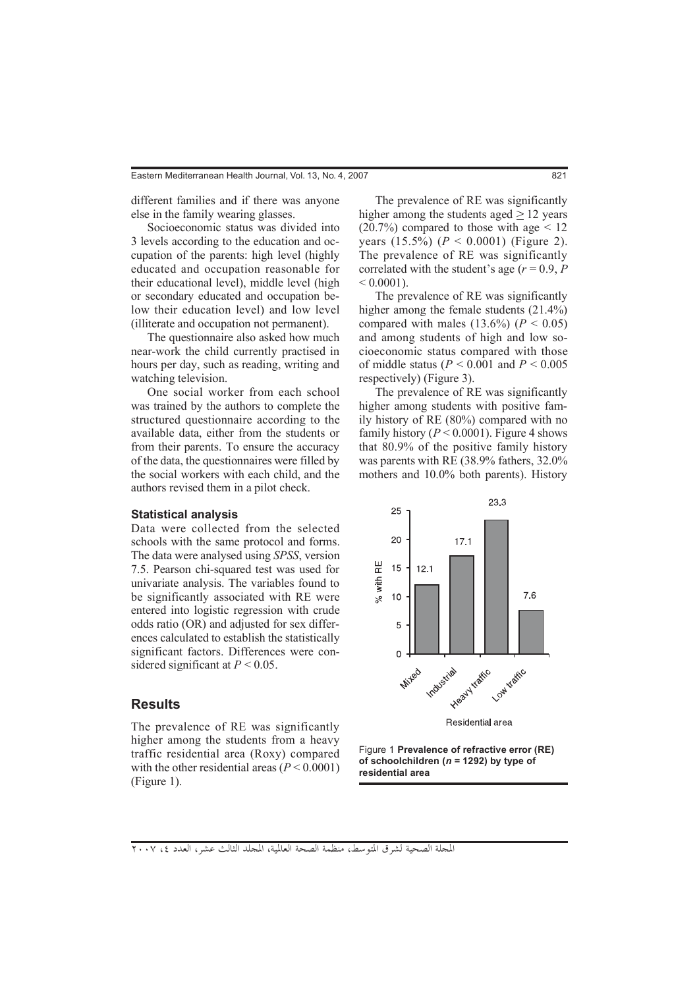different families and if there was anyone else in the family wearing glasses.

Socioeconomic status was divided into 3 levels according to the education and occupation of the parents: high level (highly educated and occupation reasonable for their educational level), middle level (high or secondary educated and occupation below their education level) and low level (illiterate and occupation not permanent).

The questionnaire also asked how much near-work the child currently practised in hours per day, such as reading, writing and watching television.

One social worker from each school was trained by the authors to complete the structured questionnaire according to the available data, either from the students or from their parents. To ensure the accuracy of the data, the questionnaires were filled by the social workers with each child, and the authors revised them in a pilot check.

#### **Statistical analysis**

Data were collected from the selected schools with the same protocol and forms. The data were analysed using *SPSS*, version 7.5. Pearson chi-squared test was used for univariate analysis. The variables found to be significantly associated with RE were entered into logistic regression with crude odds ratio (OR) and adjusted for sex differences calculated to establish the statistically significant factors. Differences were considered significant at  $P < 0.05$ .

#### **Results**

The prevalence of RE was significantly higher among the students from a heavy traffic residential area (Roxy) compared with the other residential areas  $(P < 0.0001)$ (Figure 1).

The prevalence of RE was significantly higher among the students aged  $> 12$  years  $(20.7%)$  compared to those with age  $\leq 12$ years (15.5%) (*P* < 0.0001) (Figure 2). The prevalence of RE was significantly correlated with the student's age  $(r = 0.9, P)$  $< 0.0001$ ).

The prevalence of RE was significantly higher among the female students (21.4%) compared with males  $(13.6\%)$   $(P < 0.05)$ and among students of high and low socioeconomic status compared with those of middle status (*P* < 0.001 and *P* < 0.005 respectively) (Figure 3).

The prevalence of RE was significantly higher among students with positive family history of RE (80%) compared with no family history  $(P < 0.0001)$ . Figure 4 shows that 80.9% of the positive family history was parents with RE (38.9% fathers, 32.0% mothers and 10.0% both parents). History



Figure 1 Prevalence of refractive error (RE) of schoolchildren ( $n = 1292$ ) by type of residential area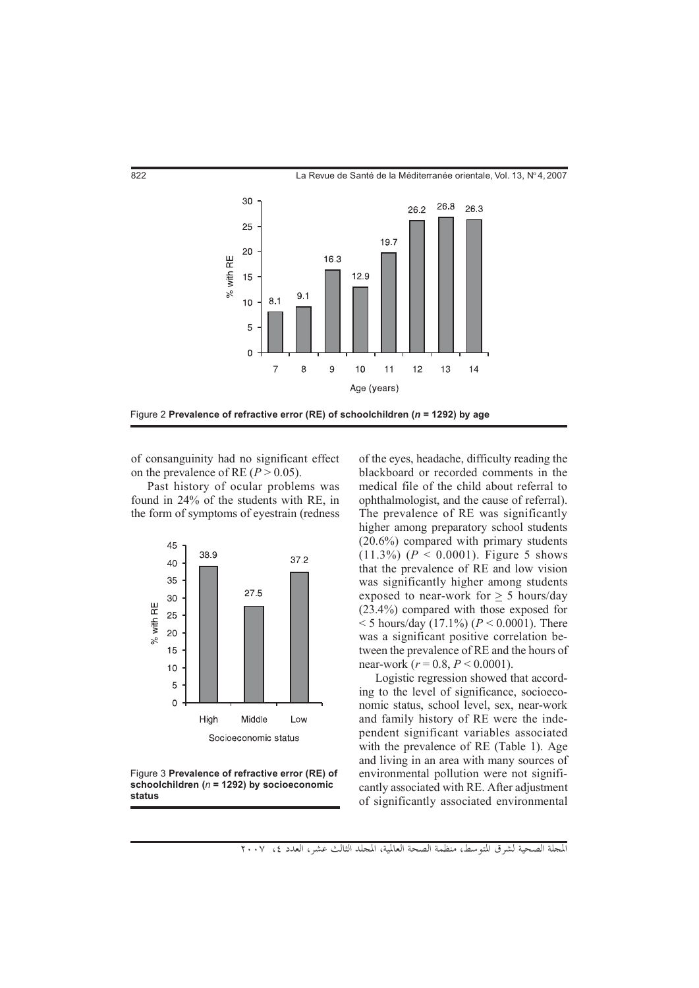



Figure 2 Prevalence of refractive error (RE) of schoolchildren ( $n = 1292$ ) by age

of consanguinity had no significant effect on the prevalence of RE  $(P > 0.05)$ .

Past history of ocular problems was found in 24% of the students with RE, in the form of symptoms of eyestrain (redness



Figure 3 Prevalence of refractive error (RE) of schoolchildren ( $n = 1292$ ) by socioeconomic status

of the eyes, headache, difficulty reading the blackboard or recorded comments in the medical file of the child about referral to ophthalmologist, and the cause of referral). The prevalence of RE was significantly higher among preparatory school students (20.6%) compared with primary students  $(11.3\%)$  ( $P < 0.0001$ ). Figure 5 shows that the prevalence of RE and low vision was significantly higher among students exposed to near-work for  $\geq$  5 hours/day (23.4%) compared with those exposed for  $<$  5 hours/day (17.1%) (*P* < 0.0001). There was a significant positive correlation between the prevalence of RE and the hours of near-work ( $r = 0.8$ ,  $P \le 0.0001$ ).

Logistic regression showed that according to the level of significance, socioeconomic status, school level, sex, near-work and family history of RE were the independent significant variables associated with the prevalence of RE (Table 1). Age and living in an area with many sources of environmental pollution were not significantly associated with RE. After adjustment of significantly associated environmental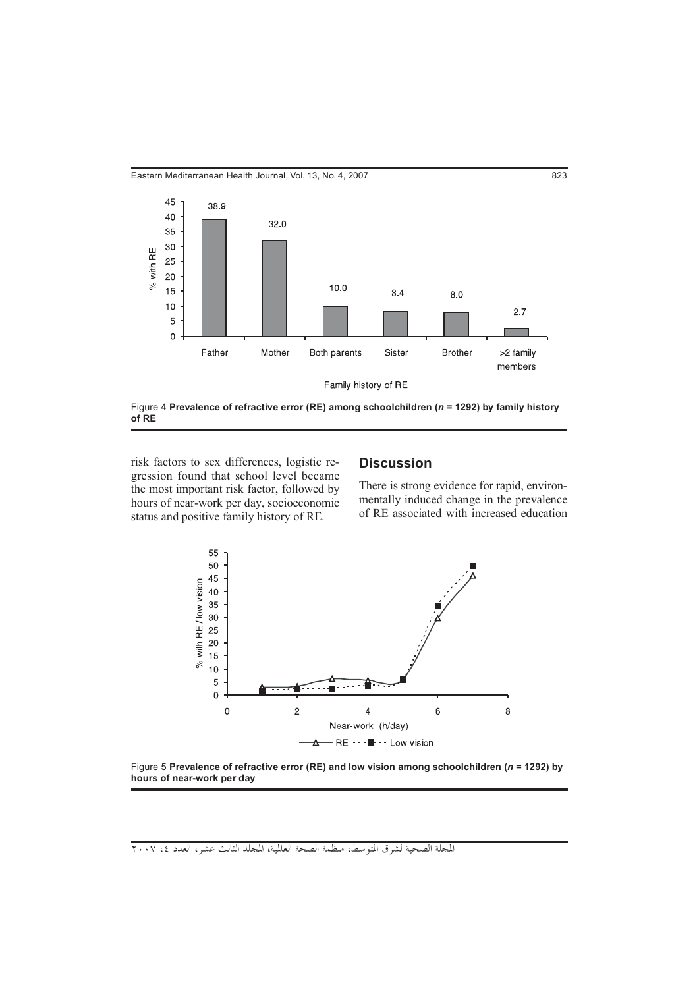

Figure 4 Prevalence of refractive error (RE) among schoolchildren (n = 1292) by family history of RE

risk factors to sex differences, logistic regression found that school level became the most important risk factor, followed by hours of near-work per day, socioeconomic status and positive family history of RE.

# **Discussion**

There is strong evidence for rapid, environmentally induced change in the prevalence of RE associated with increased education



Figure 5 Prevalence of refractive error (RE) and low vision among schoolchildren ( $n = 1292$ ) by hours of near-work per day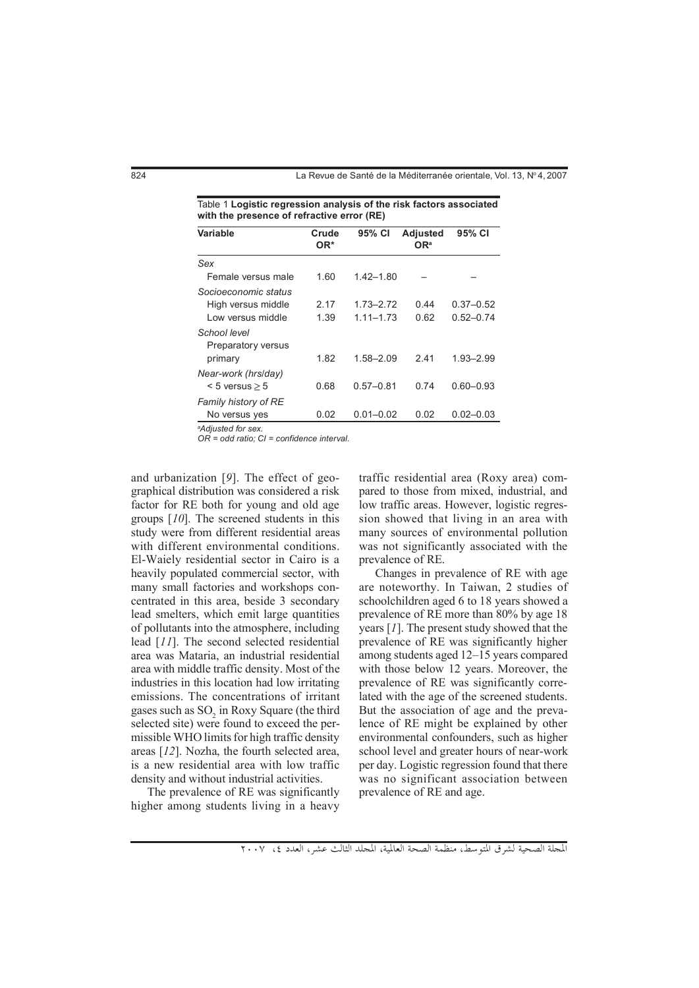824 Casaca de Santé de la Méditerranée orientale. Vol. 13. N° 4. 2007

| Table 1 Logistic regression analysis of the risk factors associated<br>with the presence of refractive error (RE) |              |                                |                             |                                |
|-------------------------------------------------------------------------------------------------------------------|--------------|--------------------------------|-----------------------------|--------------------------------|
| Variable                                                                                                          | Crude<br>OR* | 95% CI                         | Adjusted<br>OR <sup>a</sup> | 95% CI                         |
| Sex                                                                                                               |              |                                |                             |                                |
| Female versus male                                                                                                | 1.60         | $1.42 - 1.80$                  |                             |                                |
| Socioeconomic status<br>High versus middle<br>Low versus middle                                                   | 2.17<br>1.39 | $1.73 - 2.72$<br>$1.11 - 1.73$ | 0.44<br>0.62                | $0.37 - 0.52$<br>$0.52 - 0.74$ |
| School level<br>Preparatory versus<br>primary                                                                     | 1.82         | $1.58 - 2.09$                  | 2.41                        | $1.93 - 2.99$                  |
| Near-work (hrs/day)<br>$< 5$ versus $> 5$                                                                         | 0.68         | $0.57 - 0.81$                  | 0.74                        | $0.60 - 0.93$                  |
| Family history of RE<br>No versus yes                                                                             | 0.02         | $0.01 - 0.02$                  | 0.02                        | $0.02 - 0.03$                  |
| <sup>a</sup> Adiusted for sex.                                                                                    |              |                                |                             |                                |

 $OR = odd$  ratio:  $Cl = confidence$  interval.

and urbanization [*9*]. The effect of geographical distribution was considered a risk factor for RE both for young and old age groups [*10*]. The screened students in this study were from different residential areas with different environmental conditions. El-Waiely residential sector in Cairo is a heavily populated commercial sector, with many small factories and workshops concentrated in this area, beside 3 secondary lead smelters, which emit large quantities of pollutants into the atmosphere, including lead [*11*]. The second selected residential area was Mataria, an industrial residential area with middle traffic density. Most of the industries in this location had low irritating emissions. The concentrations of irritant gases such as  $SO_2$  in Roxy Square (the third selected site) were found to exceed the permissible WHO limits for high traffic density areas [*12*]. Nozha, the fourth selected area, is a new residential area with low traffic density and without industrial activities.

The prevalence of RE was significantly higher among students living in a heavy traffic residential area (Roxy area) compared to those from mixed, industrial, and low traffic areas. However, logistic regression showed that living in an area with many sources of environmental pollution was not significantly associated with the prevalence of RE.

Changes in prevalence of RE with age are noteworthy. In Taiwan, 2 studies of schoolchildren aged 6 to 18 years showed a prevalence of RE more than 80% by age 18 years [*1*]. The present study showed that the prevalence of RE was significantly higher among students aged 12–15 years compared with those below 12 years. Moreover, the prevalence of RE was significantly correlated with the age of the screened students. But the association of age and the prevalence of RE might be explained by other environmental confounders, such as higher school level and greater hours of near-work per day. Logistic regression found that there was no significant association between prevalence of RE and age.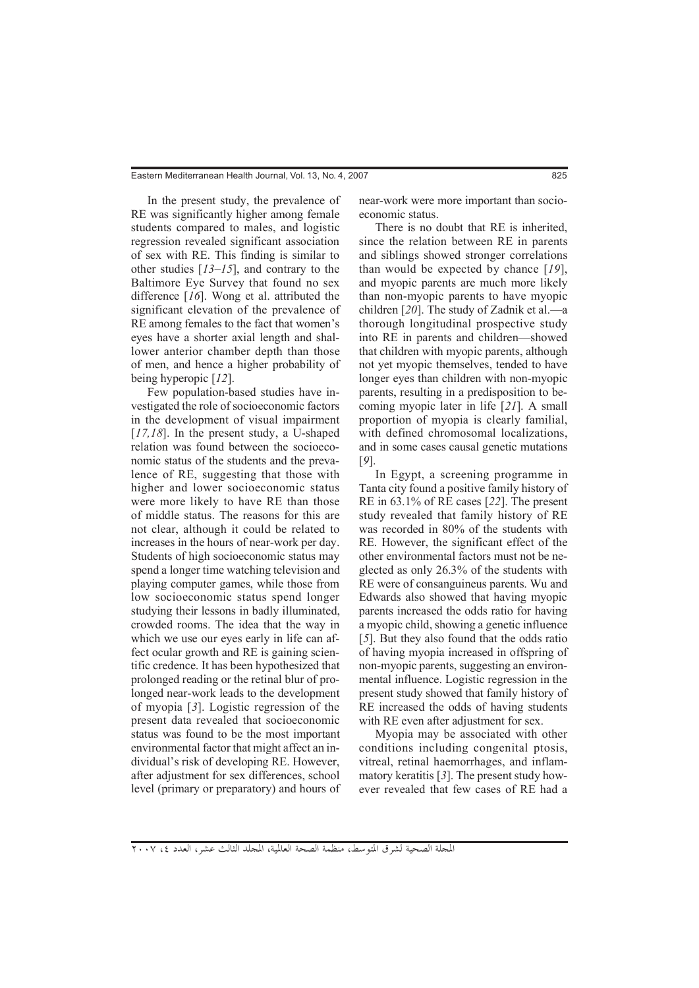In the present study, the prevalence of RE was significantly higher among female students compared to males, and logistic regression revealed significant association of sex with RE. This finding is similar to other studies [*13–15*], and contrary to the Baltimore Eye Survey that found no sex difference [*16*]. Wong et al. attributed the significant elevation of the prevalence of RE among females to the fact that women's eyes have a shorter axial length and shallower anterior chamber depth than those of men, and hence a higher probability of being hyperopic [*12*].

Few population-based studies have investigated the role of socioeconomic factors in the development of visual impairment [*17,18*]. In the present study, a U-shaped relation was found between the socioeconomic status of the students and the prevalence of RE, suggesting that those with higher and lower socioeconomic status were more likely to have RE than those of middle status. The reasons for this are not clear, although it could be related to increases in the hours of near-work per day. Students of high socioeconomic status may spend a longer time watching television and playing computer games, while those from low socioeconomic status spend longer studying their lessons in badly illuminated, crowded rooms. The idea that the way in which we use our eyes early in life can affect ocular growth and RE is gaining scientific credence. It has been hypothesized that prolonged reading or the retinal blur of prolonged near-work leads to the development of myopia [*3*]. Logistic regression of the present data revealed that socioeconomic status was found to be the most important environmental factor that might affect an individual's risk of developing RE. However, after adjustment for sex differences, school level (primary or preparatory) and hours of

near-work were more important than socioeconomic status.

There is no doubt that RE is inherited, since the relation between RE in parents and siblings showed stronger correlations than would be expected by chance [*19*], and myopic parents are much more likely than non-myopic parents to have myopic children [*20*]. The study of Zadnik et al.—a thorough longitudinal prospective study into RE in parents and children—showed that children with myopic parents, although not yet myopic themselves, tended to have longer eyes than children with non-myopic parents, resulting in a predisposition to becoming myopic later in life [*21*]. A small proportion of myopia is clearly familial, with defined chromosomal localizations, and in some cases causal genetic mutations [*9*].

In Egypt, a screening programme in Tanta city found a positive family history of RE in 63.1% of RE cases [*22*]. The present study revealed that family history of RE was recorded in 80% of the students with RE. However, the significant effect of the other environmental factors must not be neglected as only 26.3% of the students with RE were of consanguineus parents. Wu and Edwards also showed that having myopic parents increased the odds ratio for having a myopic child, showing a genetic influence [*5*]. But they also found that the odds ratio of having myopia increased in offspring of non-myopic parents, suggesting an environmental influence. Logistic regression in the present study showed that family history of RE increased the odds of having students with RE even after adjustment for sex.

Myopia may be associated with other conditions including congenital ptosis, vitreal, retinal haemorrhages, and inflammatory keratitis [*3*]. The present study however revealed that few cases of RE had a

المجلة الصحية لشرق المتوسط، منظمة الصحة العالمية، المجلد الثالث عشر، العدد ،٤ ٢٠٠٧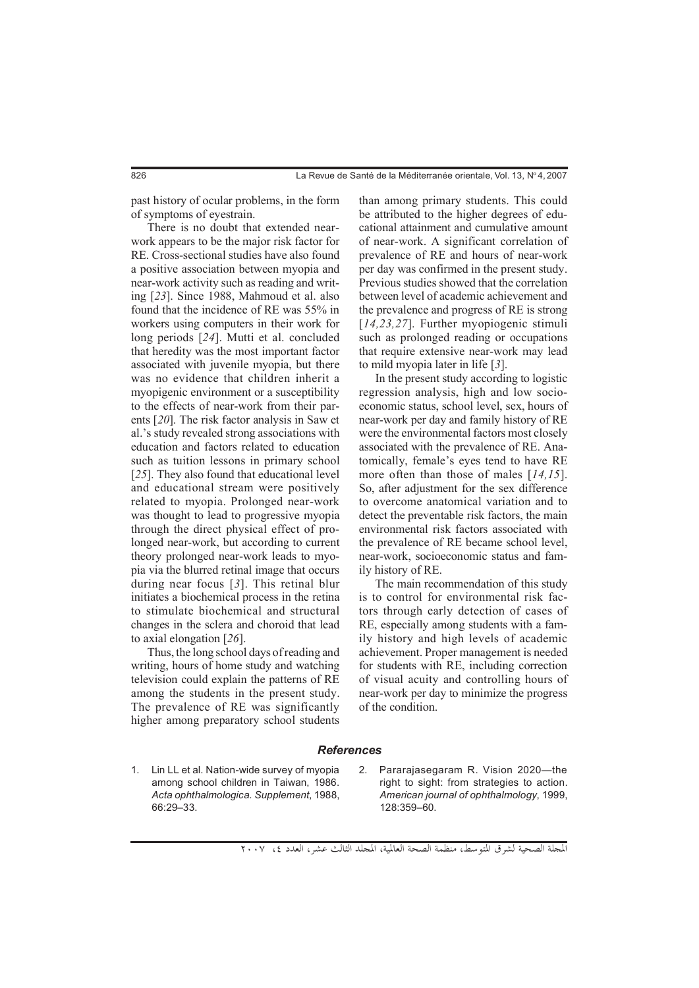past history of ocular problems, in the form of symptoms of eyestrain.

There is no doubt that extended nearwork appears to be the major risk factor for RE. Cross-sectional studies have also found a positive association between myopia and near-work activity such as reading and writing [*23*]. Since 1988, Mahmoud et al. also found that the incidence of RE was 55% in workers using computers in their work for long periods [*24*]. Mutti et al. concluded that heredity was the most important factor associated with juvenile myopia, but there was no evidence that children inherit a myopigenic environment or a susceptibility to the effects of near-work from their parents [*20*]. The risk factor analysis in Saw et al.'s study revealed strong associations with education and factors related to education such as tuition lessons in primary school [25]. They also found that educational level and educational stream were positively related to myopia. Prolonged near-work was thought to lead to progressive myopia through the direct physical effect of prolonged near-work, but according to current theory prolonged near-work leads to myopia via the blurred retinal image that occurs during near focus [*3*]. This retinal blur initiates a biochemical process in the retina to stimulate biochemical and structural changes in the sclera and choroid that lead to axial elongation [*26*].

Thus, the long school days of reading and writing, hours of home study and watching television could explain the patterns of RE among the students in the present study. The prevalence of RE was significantly higher among preparatory school students than among primary students. This could be attributed to the higher degrees of educational attainment and cumulative amount of near-work. A significant correlation of prevalence of RE and hours of near-work per day was confirmed in the present study. Previous studies showed that the correlation between level of academic achievement and the prevalence and progress of RE is strong [*14,23,27*]. Further myopiogenic stimuli such as prolonged reading or occupations that require extensive near-work may lead to mild myopia later in life [*3*].

In the present study according to logistic regression analysis, high and low socioeconomic status, school level, sex, hours of near-work per day and family history of RE were the environmental factors most closely associated with the prevalence of RE. Anatomically, female's eyes tend to have RE more often than those of males [14,15]. So, after adjustment for the sex difference to overcome anatomical variation and to detect the preventable risk factors, the main environmental risk factors associated with the prevalence of RE became school level, near-work, socioeconomic status and family history of RE.

The main recommendation of this study is to control for environmental risk factors through early detection of cases of RE, especially among students with a family history and high levels of academic achievement. Proper management is needed for students with RE, including correction of visual acuity and controlling hours of near-work per day to minimize the progress of the condition.

#### **References**

1. Lin LL et al. Nation-wide survey of myopia among school children in Taiwan, 1986. Acta ophthalmologica. Supplement, 1988, 66:29-33.

2. Pararajasegaram R. Vision 2020-the right to sight: from strategies to action. American journal of ophthalmology, 1999, 128:359-60.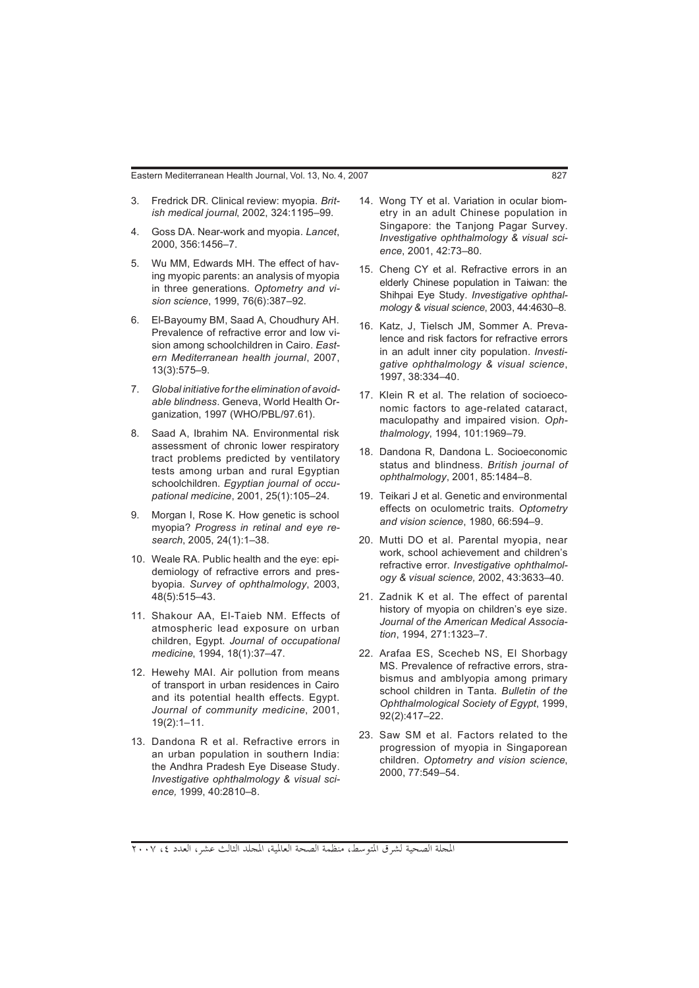- Fredrick DR. Clinical review: myopia. British medical journal, 2002, 324:1195-99.
- 4. Goss DA. Near-work and myopia. Lancet, 2000. 356:1456-7.
- 5. Wu MM, Edwards MH. The effect of having myopic parents: an analysis of myopia in three generations. Optometry and vision science, 1999, 76(6):387-92.
- 6. El-Bayoumy BM, Saad A, Choudhury AH. Prevalence of refractive error and low vision among schoolchildren in Cairo. Eastern Mediterranean health journal, 2007,  $13(3):575-9.$
- 7. Global initiative for the elimination of avoidable blindness. Geneva, World Health Organization, 1997 (WHO/PBL/97.61).
- 8. Saad A, Ibrahim NA. Environmental risk assessment of chronic lower respiratory tract problems predicted by ventilatory tests among urban and rural Egyptian schoolchildren. Egyptian journal of occupational medicine, 2001, 25(1):105-24.
- 9. Morgan I, Rose K. How genetic is school myopia? Progress in retinal and eye research, 2005, 24(1):1-38.
- 10. Weale RA. Public health and the eye: epidemiology of refractive errors and presbyopia. Survey of ophthalmology, 2003, 48(5):515-43.
- 11. Shakour AA, El-Taieb NM. Effects of atmospheric lead exposure on urban children, Egypt. Journal of occupational medicine, 1994, 18(1):37-47.
- 12. Hewehy MAI. Air pollution from means of transport in urban residences in Cairo and its potential health effects. Egypt. Journal of community medicine, 2001,  $19(2):1 - 11.$
- 13. Dandona R et al. Refractive errors in an urban population in southern India: the Andhra Pradesh Eye Disease Study. Investigative ophthalmology & visual science, 1999, 40:2810-8.
- 14. Wong TY et al. Variation in ocular biometry in an adult Chinese population in Singapore: the Tanjong Pagar Survey. Investigative ophthalmology & visual science, 2001, 42:73-80.
- 15. Cheng CY et al. Refractive errors in an elderly Chinese population in Taiwan: the Shihpai Eye Study. Investigative ophthalmology & visual science, 2003, 44:4630-8.
- 16. Katz, J. Tielsch JM, Sommer A. Prevalence and risk factors for refractive errors in an adult inner city population. Investigative ophthalmology & visual science, 1997, 38:334-40.
- 17. Klein R et al. The relation of socioeconomic factors to age-related cataract, maculopathy and impaired vision. Ophthalmology, 1994, 101:1969-79.
- 18. Dandona R, Dandona L. Socioeconomic status and blindness. British journal of ophthalmology, 2001, 85:1484-8.
- 19. Teikari J et al. Genetic and environmental effects on oculometric traits. Optometry and vision science, 1980, 66:594-9.
- 20. Mutti DO et al. Parental myopia, near work, school achievement and children's refractive error. Investigative ophthalmology & visual science, 2002, 43:3633-40.
- 21. Zadnik K et al. The effect of parental history of myopia on children's eye size. Journal of the American Medical Association, 1994, 271:1323-7.
- 22. Arafaa ES, Scecheb NS, El Shorbagy MS. Prevalence of refractive errors, strabismus and amblyopia among primary school children in Tanta. Bulletin of the Ophthalmological Society of Egypt, 1999,  $92(2):417 - 22.$
- 23. Saw SM et al. Factors related to the progression of myopia in Singaporean children. Optometry and vision science, 2000, 77:549-54.

المجلة الصحية لشرق المتوسط، منظمة الصحة العالمية، المجلد الثالث عشر، العدد ،٤ ٢٠٠٧